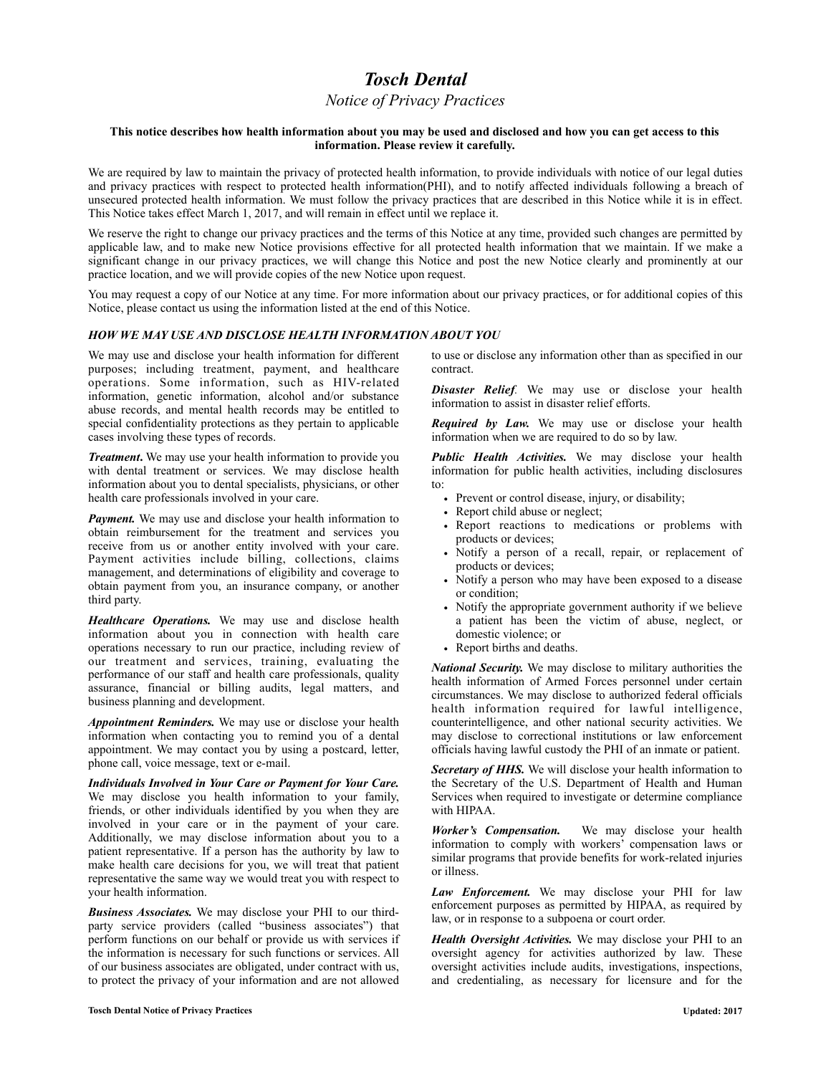# *Tosch Dental*

# *Notice of Privacy Practices*

#### **This notice describes how health information about you may be used and disclosed and how you can get access to this information. Please review it carefully.**

We are required by law to maintain the privacy of protected health information, to provide individuals with notice of our legal duties and privacy practices with respect to protected health information(PHI), and to notify affected individuals following a breach of unsecured protected health information. We must follow the privacy practices that are described in this Notice while it is in effect. This Notice takes effect March 1, 2017, and will remain in effect until we replace it.

We reserve the right to change our privacy practices and the terms of this Notice at any time, provided such changes are permitted by applicable law, and to make new Notice provisions effective for all protected health information that we maintain. If we make a significant change in our privacy practices, we will change this Notice and post the new Notice clearly and prominently at our practice location, and we will provide copies of the new Notice upon request.

You may request a copy of our Notice at any time. For more information about our privacy practices, or for additional copies of this Notice, please contact us using the information listed at the end of this Notice.

# *HOW WE MAY USE AND DISCLOSE HEALTH INFORMATION ABOUT YOU*

We may use and disclose your health information for different purposes; including treatment, payment, and healthcare operations. Some information, such as HIV-related information, genetic information, alcohol and/or substance abuse records, and mental health records may be entitled to special confidentiality protections as they pertain to applicable cases involving these types of records.

*Treatment*. We may use your health information to provide you with dental treatment or services. We may disclose health information about you to dental specialists, physicians, or other health care professionals involved in your care.

*Payment.* We may use and disclose your health information to obtain reimbursement for the treatment and services you receive from us or another entity involved with your care. Payment activities include billing, collections, claims management, and determinations of eligibility and coverage to obtain payment from you, an insurance company, or another third party.

*Healthcare Operations.* We may use and disclose health information about you in connection with health care operations necessary to run our practice, including review of our treatment and services, training, evaluating the performance of our staff and health care professionals, quality assurance, financial or billing audits, legal matters, and business planning and development.

*Appointment Reminders.* We may use or disclose your health information when contacting you to remind you of a dental appointment. We may contact you by using a postcard, letter, phone call, voice message, text or e-mail.

*Individuals Involved in Your Care or Payment for Your Care.* We may disclose you health information to your family, friends, or other individuals identified by you when they are involved in your care or in the payment of your care. Additionally, we may disclose information about you to a patient representative. If a person has the authority by law to make health care decisions for you, we will treat that patient representative the same way we would treat you with respect to your health information.

*Business Associates.* We may disclose your PHI to our thirdparty service providers (called "business associates") that perform functions on our behalf or provide us with services if the information is necessary for such functions or services. All of our business associates are obligated, under contract with us, to protect the privacy of your information and are not allowed to use or disclose any information other than as specified in our contract.

*Disaster Relief.* We may use or disclose your health information to assist in disaster relief efforts.

*Required by Law.* We may use or disclose your health information when we are required to do so by law.

*Public Health Activities.* We may disclose your health information for public health activities, including disclosures to:

- Prevent or control disease, injury, or disability;
- Report child abuse or neglect;
- Report reactions to medications or problems with products or devices;
- Notify a person of a recall, repair, or replacement of products or devices;
- Notify a person who may have been exposed to a disease or condition;
- Notify the appropriate government authority if we believe a patient has been the victim of abuse, neglect, or domestic violence; or
- Report births and deaths.

*National Security.* We may disclose to military authorities the health information of Armed Forces personnel under certain circumstances. We may disclose to authorized federal officials health information required for lawful intelligence, counterintelligence, and other national security activities. We may disclose to correctional institutions or law enforcement officials having lawful custody the PHI of an inmate or patient.

Secretary of HHS. We will disclose your health information to the Secretary of the U.S. Department of Health and Human Services when required to investigate or determine compliance with HIPAA.

*Worker's Compensation.* We may disclose your health information to comply with workers' compensation laws or similar programs that provide benefits for work-related injuries or illness.

*Law Enforcement.* We may disclose your PHI for law enforcement purposes as permitted by HIPAA, as required by law, or in response to a subpoena or court order.

*Health Oversight Activities.* We may disclose your PHI to an oversight agency for activities authorized by law. These oversight activities include audits, investigations, inspections, and credentialing, as necessary for licensure and for the